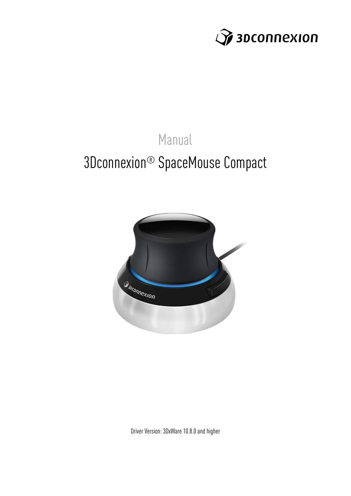

# Manual 3Dconnexion® SpaceMouse Compact



Driver Version: 3DxWare 10.8.0 and higher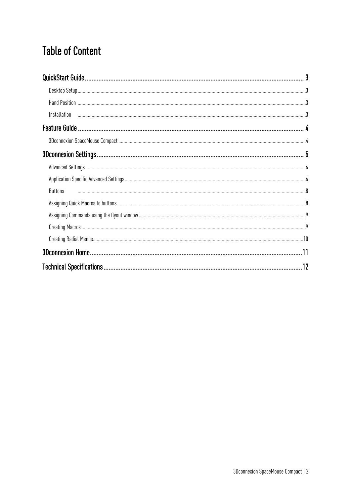## **Table of Content**

| Buttons |  |
|---------|--|
|         |  |
|         |  |
|         |  |
|         |  |
|         |  |
|         |  |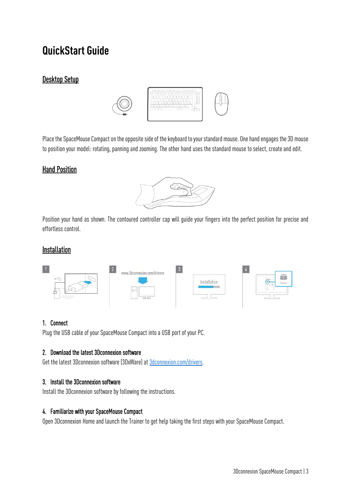## <span id="page-2-0"></span>**QuickStart Guide**

### <span id="page-2-1"></span>Desktop Setup



Place the SpaceMouse Compact on the opposite side of the keyboard to your standard mouse. One hand engages the 3D mouse to position your model: rotating, panning and zooming. The other hand uses the standard mouse to select, create and edit.

#### <span id="page-2-2"></span>**Hand Position**



Position your hand as shown. The contoured controller cap will guide your fingers into the perfect position for precise and effortless control.

#### <span id="page-2-3"></span>Installation



#### 1. Connect

Plug the USB cable of your SpaceMouse Compact into a USB port of your PC.

#### 2. Download the latest 3Dconnexion software

Get the latest 3Dconnexion software (3DxWare) at [3dconnexion.com/drivers.](https://3dconnexion.com/drivers/) 

#### 3. Install the 3Dconnexion software

Install the 3Dconnexion software by following the instructions.

#### 4. Familiarize with your SpaceMouse Compact

Open 3Dconnexion Home and launch the Trainer to get help taking the first steps with your SpaceMouse Compact.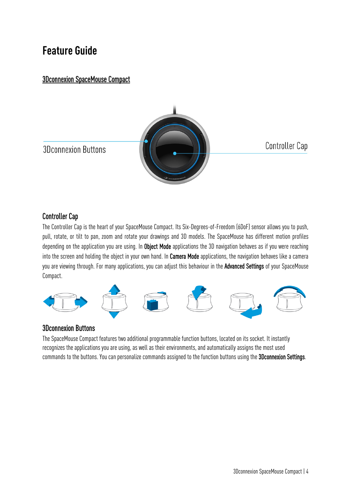## <span id="page-3-0"></span>**Feature Guide**

## <span id="page-3-1"></span>3Dconnexion SpaceMouse Compact



## Controller Cap

The Controller Cap is the heart of your SpaceMouse Compact. Its Six-Degrees-of-Freedom (6DoF) sensor allows you to push, pull, rotate, or tilt to pan, zoom and rotate your drawings and 3D models. The SpaceMouse has different motion profiles depending on the application you are using. In Object Mode applications the 3D navigation behaves as if you were reaching into the screen and holding the object in your own hand. In Camera Mode applications, the navigation behaves like a camera you are viewing through. For many applications, you can adjust this behaviour in the Advanced Settings of your SpaceMouse Compact.



## 3Dconnexion Buttons

The SpaceMouse Compact features two additional programmable function buttons, located on its socket. It instantly recognizes the applications you are using, as well as their environments, and automatically assigns the most used commands to the buttons. You can personalize commands assigned to the function buttons using the 3Dconnexion Settings.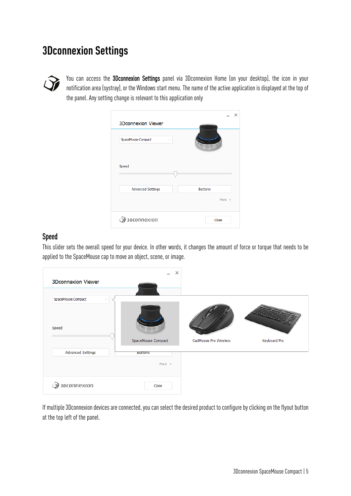## <span id="page-4-0"></span>**3Dconnexion Settings**



You can access the 3Dconnexion Settings panel via 3Dconnexion Home (on your desktop), the icon in your notification area (systray), or the Windows start menu. The name of the active application is displayed at the top of the panel. Any setting change is relevant to this application only

| <b>3Dconnexion Viewer</b>           | $\times$                 |
|-------------------------------------|--------------------------|
| SpaceMouse Compact<br>$\mathcal{P}$ |                          |
| Speed                               |                          |
| <b>Advanced Settings</b>            | <b>Buttons</b><br>More > |
| 3Dconnexion                         | Close                    |

#### Speed

This slider sets the overall speed for your device. In other words, it changes the amount of force or torque that needs to be applied to the SpaceMouse cap to move an object, scene, or image.

|                                     | $\times$<br>$\overline{\phantom{0}}$ |                       |              |
|-------------------------------------|--------------------------------------|-----------------------|--------------|
| <b>3Dconnexion Viewer</b>           |                                      |                       |              |
|                                     |                                      |                       |              |
| SpaceMouse Compact                  |                                      |                       |              |
| Speed                               | SpaceMouse Compact                   | CadMouse Pro Wireless | Keyboard Pro |
| Advanced Settings                   | <b>BUTTONS</b>                       |                       |              |
|                                     | More $>$                             |                       |              |
| $\widehat{\mathscr{A}}$ зосоппехіоп | Close                                |                       |              |

If multiple 3Dconnexion devices are connected, you can select the desired product to configure by clicking on the flyout button at the top left of the panel.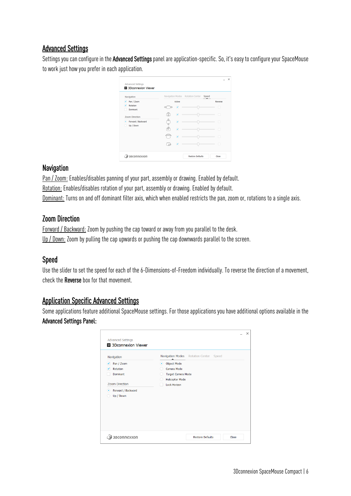## <span id="page-5-0"></span>Advanced Settings

Settings you can configure in the Advanced Settings panel are application-specific. So, it's easy to configure your SpaceMouse to work just how you prefer in each application.

| Navigation            |   |                         | Navigation Modes Rotation Center Speed |         |
|-----------------------|---|-------------------------|----------------------------------------|---------|
| Pan / Zoom<br>✓       |   | Active                  |                                        | Reverse |
| Rotation<br>Dominant  |   | v                       |                                        | ٠       |
| <b>Zoom Direction</b> | ã | ✓                       |                                        |         |
| · Forward / Backward  |   | $\overline{\mathbf{v}}$ |                                        | m       |
| Up / Down             |   | v                       |                                        |         |
|                       |   | V                       |                                        |         |
|                       | A | ✓                       |                                        | m       |

### Navigation

Pan / Zoom: Enables/disables panning of your part, assembly or drawing. Enabled by default. Rotation: Enables/disables rotation of your part, assembly or drawing. Enabled by default. Dominant: Turns on and off dominant filter axis, which when enabled restricts the pan, zoom or, rotations to a single axis.

## Zoom Direction

Forward / Backward: Zoom by pushing the cap toward or away from you parallel to the desk. Up / Down: Zoom by pulling the cap upwards or pushing the cap downwards parallel to the screen.

## Speed

Use the slider to set the speed for each of the 6-Dimensions-of-Freedom individually. To reverse the direction of a movement, check the Reverse box for that movement.

## <span id="page-5-1"></span>Application Specific Advanced Settings

Some applications feature additional SpaceMouse settings. For those applications you have additional options available in the Advanced Settings Panel:

| Navigation            | Navigation Modes Rotation Center Speed |
|-----------------------|----------------------------------------|
| Pan / Zoom<br>✓       | · Object Mode                          |
| Rotation<br>ᢦ         | Camera Mode                            |
| Dominant              | Target Camera Mode                     |
|                       | <b>Helicopter Mode</b>                 |
| <b>Zoom Direction</b> | <b>Lock Horizon</b>                    |
| • Forward / Backward  |                                        |
| Up / Down             |                                        |
|                       |                                        |
|                       |                                        |
|                       |                                        |
|                       |                                        |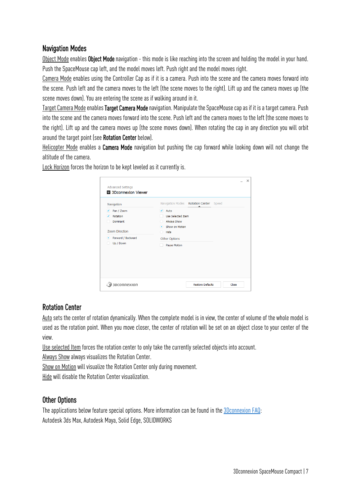## Navigation Modes

Object Mode enables Object Mode navigation - this mode is like reaching into the screen and holding the model in your hand. Push the SpaceMouse cap left, and the model moves left. Push right and the model moves right.

Camera Mode enables using the Controller Cap as if it is a camera. Push into the scene and the camera moves forward into the scene. Push left and the camera moves to the left (the scene moves to the right). Lift up and the camera moves up (the scene moves down). You are entering the scene as if walking around in it.

Target Camera Mode enables Target Camera Mode navigation. Manipulate the SpaceMouse cap as if it is a target camera. Push into the scene and the camera moves forward into the scene. Push left and the camera moves to the left (the scene moves to the right). Lift up and the camera moves up (the scene moves down). When rotating the cap in any direction you will orbit around the target point (see Rotation Center below).

Helicopter Mode enables a Camera Mode navigation but pushing the cap forward while looking down will not change the altitude of the camera.

| Navigation            | Navigation Modes  Rotation Center  Speed |
|-----------------------|------------------------------------------|
| Pan / Zoom<br>✓       | $\sqrt{ }$ Auto                          |
| ᢦ<br>Rotation         | <b>Use Selected Item</b>                 |
| Dominant              | <b>Always Show</b>                       |
|                       | • Show on Motion                         |
| <b>Zoom Direction</b> | Hide                                     |
| • Forward / Backward  | <b>Other Options</b>                     |
| Up / Down<br>O        | <b>Pause Motion</b>                      |

Lock Horizon forces the horizon to be kept leveled as it currently is.

## Rotation Center

Auto sets the center of rotation dynamically. When the complete model is in view, the center of volume of the whole model is used as the rotation point. When you move closer, the center of rotation will be set on an object close to your center of the view.

Use selected Item forces the rotation center to only take the currently selected objects into account.

Always Show always visualizes the Rotation Center.

Show on Motion will visualize the Rotation Center only during movement.

Hide will disable the Rotation Center visualization.

## Other Options

The applications below feature special options. More information can be found in the [3Dconnexion FAQ:](https://3dconnexion.com/FAQ) Autodesk 3ds Max, Autodesk Maya, Solid Edge, SOLIDWORKS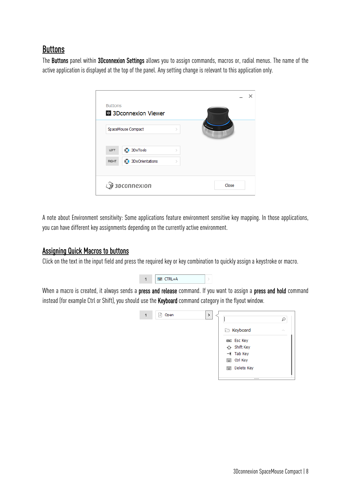## <span id="page-7-0"></span>**Buttons**

The Buttons panel within 3Dconnexion Settings allows you to assign commands, macros or, radial menus. The name of the active application is displayed at the top of the panel. Any setting change is relevant to this application only.

|              | 8 3Dconnexion Viewer   |               |  |
|--------------|------------------------|---------------|--|
|              | SpaceMouse Compact     | $\mathcal{P}$ |  |
| <b>LEFT</b>  | <b>3DxTools</b>        | $\mathbf{A}$  |  |
| <b>RIGHT</b> | <b>3DxOrientations</b> | $\mathcal{P}$ |  |

A note about Environment sensitivity: Some applications feature environment sensitive key mapping. In those applications, you can have different key assignments depending on the currently active environment.

#### <span id="page-7-1"></span>Assigning Quick Macros to buttons

Click on the text in the input field and press the required key or key combination to quickly assign a keystroke or macro.



When a macro is created, it always sends a press and release command. If you want to assign a press and hold command instead (for example Ctrl or Shift), you should use the Keyboard command category in the flyout window.

| 1 | 굮<br>Open | $\mathbf{\mathcal{P}}$ |                       |                          |
|---|-----------|------------------------|-----------------------|--------------------------|
|   |           |                        | E Keyboard            | $\mathcal{N}_\mathrm{b}$ |
|   |           |                        | ESC ESC Key           |                          |
|   |           |                        | ← Shift Key           |                          |
|   |           |                        | $\rightarrow$ Tab Key |                          |
|   |           |                        | Ctrl Key<br>靊         |                          |
|   |           |                        | Delete Key<br>靊       |                          |
|   |           |                        |                       |                          |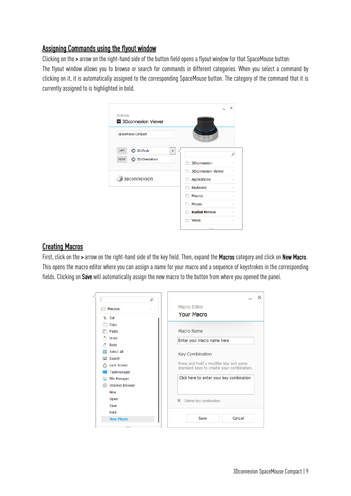## <span id="page-8-0"></span>Assigning Commands using the flyout window

Clicking on the > arrow on the right-hand side of the button field opens a flyout window for that SpaceMouse button: The flyout window allows you to browse or search for commands in different categories. When you select a command by

clicking on it, it is automatically assigned to the corresponding SpaceMouse button. The category of the command that it is currently assigned to is highlighted in bold.

| <b>Buttons</b> |                                     |               |                           | $\times$     |
|----------------|-------------------------------------|---------------|---------------------------|--------------|
|                | 3 3 Dconnexion Viewer               |               |                           |              |
|                | SpaceMouse Compact                  | $\mathcal{P}$ |                           |              |
| LEFT           | <b>3DxTools</b>                     | $\,$          |                           | ٩            |
| RIGHT          | 3DxOrientations                     | $\mathcal{P}$ | 3Dconnexion               |              |
|                |                                     |               | <b>3Dconnexion Viewer</b> |              |
|                | $\widehat{\mathcal{Y}}$ зосоппехіоп |               | Applications              |              |
|                |                                     |               | Keyboard                  |              |
|                |                                     |               | <b>Macros</b>             |              |
|                |                                     |               | Mouse                     | $\checkmark$ |
|                |                                     |               | <b>Radial Menus</b>       |              |
|                |                                     |               | <b>Views</b>              | $\checkmark$ |
|                |                                     |               |                           |              |

#### <span id="page-8-1"></span>Creating Macros

First, click on the > arrow on the right-hand side of the key field. Then, expand the Macros category and click on New Macro. This opens the macro editor where you can assign a name for your macro and a sequence of keystrokes in the corresponding fields. Clicking on Save will automatically assign the new macro to the button from where you opened the panel.

| <b>Macros</b><br>$\mathcal{N}_n$ | Macro Editor                                                                        |  |  |
|----------------------------------|-------------------------------------------------------------------------------------|--|--|
| Cut<br>Æ.                        | <b>Your Macro</b>                                                                   |  |  |
| Copy                             |                                                                                     |  |  |
| Paste                            | Macro Name                                                                          |  |  |
| Undo                             | Enter your macro name here                                                          |  |  |
| Redo                             |                                                                                     |  |  |
| Select All                       | Key Combination                                                                     |  |  |
| Search<br>曲                      |                                                                                     |  |  |
| <b>Lock Screen</b><br>A          | Press and hold a modifier key and some<br>standard keys to create your combination. |  |  |
| Taskmanager                      |                                                                                     |  |  |
| <b>File Manager</b>              | Click here to enter your key combination                                            |  |  |
| <b>Internet Browser</b>          |                                                                                     |  |  |
| <b>New</b>                       |                                                                                     |  |  |
| Open                             | X Delete key combination                                                            |  |  |
| Save                             |                                                                                     |  |  |
| Print                            |                                                                                     |  |  |
| <b>New Macro</b>                 | Cancel<br>Save                                                                      |  |  |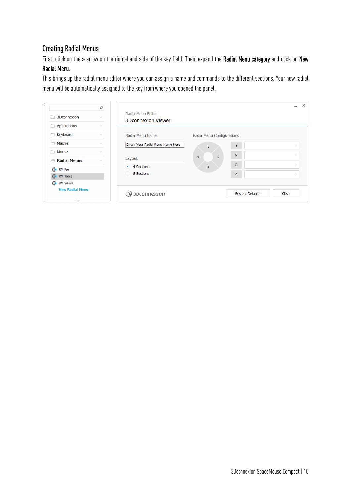## <span id="page-9-0"></span>Creating Radial Menus

First, click on the > arrow on the right-hand side of the key field. Then, expand the Radial Menu category and click on New Radial Menu.

This brings up the radial menu editor where you can assign a name and commands to the different sections. Your new radial menu will be automatically assigned to the key from where you opened the panel.

| 3Dconnexion                                | Q<br>$\sim$          | Radial Menu Editor<br><b>3Dconnexion Viewer</b> |                                       |                         | $\times$<br>$\overline{\phantom{0}}$ |
|--------------------------------------------|----------------------|-------------------------------------------------|---------------------------------------|-------------------------|--------------------------------------|
| Applications<br>È<br>Keyboard<br>ħ         | $\sim$<br>$\searrow$ | Radial Menu Name                                | Radial Menu Configurations            |                         |                                      |
| ħ<br>Macros<br>ħ<br>Mouse                  | $\sim$<br>$\sim$     | Enter Your Radial Menu Name here                | $\mathbf{1}$                          | 1                       |                                      |
| <b>Radial Menus</b><br>Þ<br><b>CONTROL</b> | $\sim$               | Layout<br>$\odot$<br>4 Sections                 | $\overline{2}$<br>$\overline{4}$<br>3 | 5<br>3                  |                                      |
| <b>CONTROL</b><br><b>CONTROL</b> RM Views  |                      | 8 Sections                                      |                                       | $\overline{4}$          |                                      |
| <b>New Radial Menu</b><br><b>ALL 1-1-1</b> |                      | $\mathcal G$ зосоппехіоп                        |                                       | <b>Restore Defaults</b> | Close                                |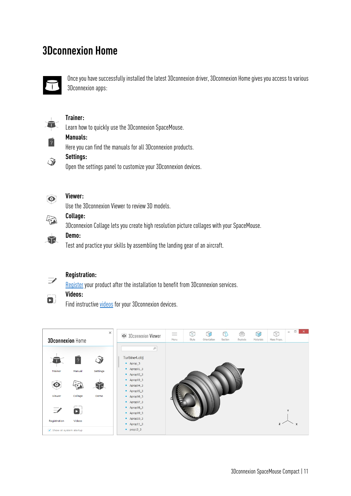## <span id="page-10-0"></span>**3Dconnexion Home**



Once you have successfully installed the latest 3Dconnexion driver, 3Dconnexion Home gives you access to various 3Dconnexion apps:



 $\overline{?}$ 

#### **Trainer:**

Learn how to quickly use the 3Dconnexion SpaceMouse.

## **Manuals:**

Here you can find the manuals for all 3Dconnexion products.



#### **Settings:**

Open the settings panel to customize your 3Dconnexion devices.



#### **Viewer:**

Use the 3Dconnexion Viewer to review 3D models.



#### **Collage:**

**Demo:**

3Dconnexion Collage lets you create high resolution picture collages with your SpaceMouse.



Test and practice your skills by assembling the landing gear of an aircraft.



 $\blacksquare$ 

#### **Registration:**

[Register](https://3dconnexion.com/product-registration/login/) your product after the installation to benefit from 3D connexion services.

### **Videos:**

Find instructive *videos* for your 3Dconnexion devices.